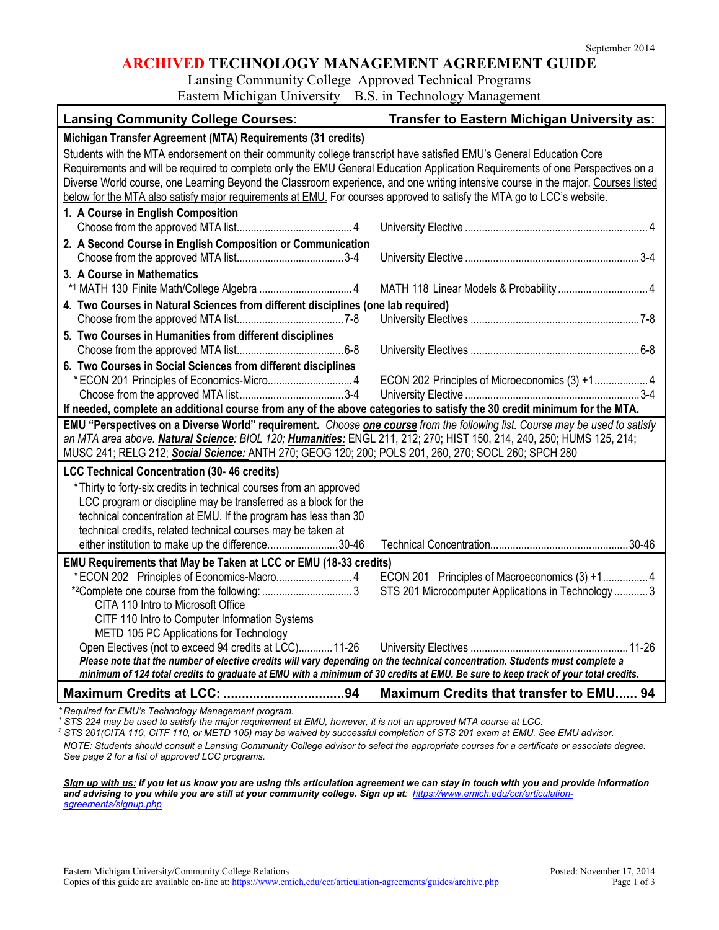### **ARCHIVED TECHNOLOGY MANAGEMENT AGREEMENT GUIDE**

Lansing Community College–Approved Technical Programs

Eastern Michigan University – B.S. in Technology Management

| <b>Lansing Community College Courses:</b>                                                                                                                                                                                                                                                                                                                                                                                                                                                                            | <b>Transfer to Eastern Michigan University as:</b> |  |
|----------------------------------------------------------------------------------------------------------------------------------------------------------------------------------------------------------------------------------------------------------------------------------------------------------------------------------------------------------------------------------------------------------------------------------------------------------------------------------------------------------------------|----------------------------------------------------|--|
| Michigan Transfer Agreement (MTA) Requirements (31 credits)                                                                                                                                                                                                                                                                                                                                                                                                                                                          |                                                    |  |
| Students with the MTA endorsement on their community college transcript have satisfied EMU's General Education Core<br>Requirements and will be required to complete only the EMU General Education Application Requirements of one Perspectives on a<br>Diverse World course, one Learning Beyond the Classroom experience, and one writing intensive course in the major. Courses listed<br>below for the MTA also satisfy major requirements at EMU. For courses approved to satisfy the MTA go to LCC's website. |                                                    |  |
| 1. A Course in English Composition                                                                                                                                                                                                                                                                                                                                                                                                                                                                                   |                                                    |  |
| 2. A Second Course in English Composition or Communication                                                                                                                                                                                                                                                                                                                                                                                                                                                           |                                                    |  |
| 3. A Course in Mathematics                                                                                                                                                                                                                                                                                                                                                                                                                                                                                           |                                                    |  |
| 4. Two Courses in Natural Sciences from different disciplines (one lab required)                                                                                                                                                                                                                                                                                                                                                                                                                                     |                                                    |  |
|                                                                                                                                                                                                                                                                                                                                                                                                                                                                                                                      |                                                    |  |
| 5. Two Courses in Humanities from different disciplines                                                                                                                                                                                                                                                                                                                                                                                                                                                              |                                                    |  |
|                                                                                                                                                                                                                                                                                                                                                                                                                                                                                                                      |                                                    |  |
| 6. Two Courses in Social Sciences from different disciplines                                                                                                                                                                                                                                                                                                                                                                                                                                                         | ECON 202 Principles of Microeconomics (3) +1 4     |  |
|                                                                                                                                                                                                                                                                                                                                                                                                                                                                                                                      |                                                    |  |
| If needed, complete an additional course from any of the above categories to satisfy the 30 credit minimum for the MTA.                                                                                                                                                                                                                                                                                                                                                                                              |                                                    |  |
| EMU "Perspectives on a Diverse World" requirement. Choose one course from the following list. Course may be used to satisfy                                                                                                                                                                                                                                                                                                                                                                                          |                                                    |  |
| an MTA area above. Natural Science: BIOL 120; Humanities: ENGL 211, 212; 270; HIST 150, 214, 240, 250; HUMS 125, 214;                                                                                                                                                                                                                                                                                                                                                                                                |                                                    |  |
| MUSC 241; RELG 212; Social Science: ANTH 270; GEOG 120; 200; POLS 201, 260, 270; SOCL 260; SPCH 280                                                                                                                                                                                                                                                                                                                                                                                                                  |                                                    |  |
| <b>LCC Technical Concentration (30-46 credits)</b>                                                                                                                                                                                                                                                                                                                                                                                                                                                                   |                                                    |  |
| * Thirty to forty-six credits in technical courses from an approved                                                                                                                                                                                                                                                                                                                                                                                                                                                  |                                                    |  |
| LCC program or discipline may be transferred as a block for the                                                                                                                                                                                                                                                                                                                                                                                                                                                      |                                                    |  |
| technical concentration at EMU. If the program has less than 30                                                                                                                                                                                                                                                                                                                                                                                                                                                      |                                                    |  |
| technical credits, related technical courses may be taken at                                                                                                                                                                                                                                                                                                                                                                                                                                                         |                                                    |  |
| either institution to make up the difference30-46                                                                                                                                                                                                                                                                                                                                                                                                                                                                    |                                                    |  |
| EMU Requirements that May be Taken at LCC or EMU (18-33 credits)                                                                                                                                                                                                                                                                                                                                                                                                                                                     | STS 201 Microcomputer Applications in Technology 3 |  |
| CITA 110 Intro to Microsoft Office                                                                                                                                                                                                                                                                                                                                                                                                                                                                                   |                                                    |  |
| CITF 110 Intro to Computer Information Systems<br>METD 105 PC Applications for Technology                                                                                                                                                                                                                                                                                                                                                                                                                            |                                                    |  |
| Open Electives (not to exceed 94 credits at LCC) 11-26                                                                                                                                                                                                                                                                                                                                                                                                                                                               |                                                    |  |
| Please note that the number of elective credits will vary depending on the technical concentration. Students must complete a<br>minimum of 124 total credits to graduate at EMU with a minimum of 30 credits at EMU. Be sure to keep track of your total credits.                                                                                                                                                                                                                                                    |                                                    |  |
|                                                                                                                                                                                                                                                                                                                                                                                                                                                                                                                      | Maximum Credits that transfer to EMU 94            |  |

*\* Required for EMU's Technology Management program.* 

*<sup>1</sup> STS 224 may be used to satisfy the major requirement at EMU, however, it is not an approved MTA course at LCC.*

*<sup>2</sup> STS 201(CITA 110, CITF 110, or METD 105) may be waived by successful completion of STS 201 exam at EMU. See EMU advisor.*

*NOTE: Students should consult a Lansing Community College advisor to select the appropriate courses for a certificate or associate degree. See page 2 for a list of approved LCC programs.*

*Sign up with us: If you let us know you are using this articulation agreement we can stay in touch with you and provide information and advising to you while you are still at your community college. Sign up at: [https://www.emich.edu/ccr/articulation](https://www.emich.edu/ccr/articulation-agreements/signup.php)[agreements/signup.php](https://www.emich.edu/ccr/articulation-agreements/signup.php)*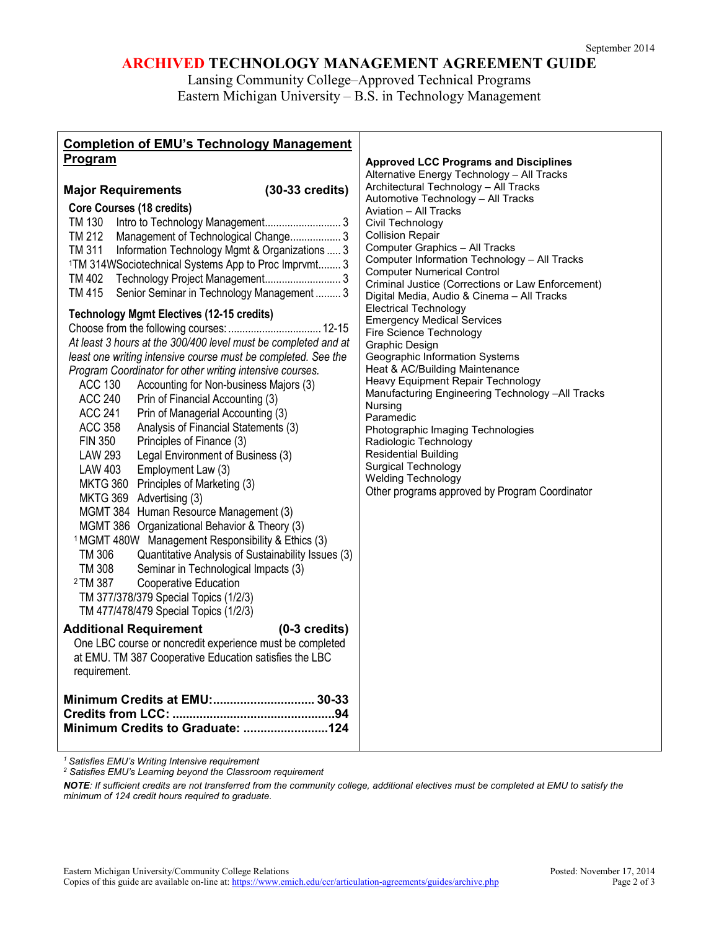# **ARCHIVED TECHNOLOGY MANAGEMENT AGREEMENT GUIDE**

Lansing Community College–Approved Technical Programs Eastern Michigan University – B.S. in Technology Management

| <b>Completion of EMU's Technology Management</b>                                             |                                                                                        |
|----------------------------------------------------------------------------------------------|----------------------------------------------------------------------------------------|
| Program                                                                                      | <b>Approved LCC Programs and Disciplines</b>                                           |
|                                                                                              | Alternative Energy Technology - All Tracks                                             |
| <b>Major Requirements</b><br>$(30-33 \text{ credits})$                                       | Architectural Technology - All Tracks                                                  |
| <b>Core Courses (18 credits)</b>                                                             | Automotive Technology - All Tracks<br>Aviation - All Tracks                            |
|                                                                                              | Civil Technology                                                                       |
| TM 212 Management of Technological Change 3                                                  | <b>Collision Repair</b>                                                                |
| TM 311 Information Technology Mgmt & Organizations  3                                        | Computer Graphics - All Tracks                                                         |
| <sup>1</sup> TM 314WSociotechnical Systems App to Proc Imprvmt 3                             | Computer Information Technology - All Tracks                                           |
| TM 402                                                                                       | <b>Computer Numerical Control</b><br>Criminal Justice (Corrections or Law Enforcement) |
| Senior Seminar in Technology Management  3<br>TM 415                                         | Digital Media, Audio & Cinema - All Tracks                                             |
|                                                                                              | <b>Electrical Technology</b>                                                           |
| <b>Technology Mgmt Electives (12-15 credits)</b>                                             | <b>Emergency Medical Services</b>                                                      |
|                                                                                              | Fire Science Technology                                                                |
| At least 3 hours at the 300/400 level must be completed and at                               | Graphic Design                                                                         |
| least one writing intensive course must be completed. See the                                | Geographic Information Systems<br>Heat & AC/Building Maintenance                       |
| Program Coordinator for other writing intensive courses.<br><b>ACC 130</b>                   | Heavy Equipment Repair Technology                                                      |
| Accounting for Non-business Majors (3)<br><b>ACC 240</b><br>Prin of Financial Accounting (3) | Manufacturing Engineering Technology -All Tracks                                       |
| <b>ACC 241</b><br>Prin of Managerial Accounting (3)                                          | Nursing                                                                                |
| <b>ACC 358</b><br>Analysis of Financial Statements (3)                                       | Paramedic                                                                              |
| Principles of Finance (3)<br><b>FIN 350</b>                                                  | Photographic Imaging Technologies<br>Radiologic Technology                             |
| <b>LAW 293</b><br>Legal Environment of Business (3)                                          | <b>Residential Building</b>                                                            |
| Employment Law (3)<br>LAW 403                                                                | Surgical Technology                                                                    |
| MKTG 360 Principles of Marketing (3)                                                         | <b>Welding Technology</b>                                                              |
| MKTG 369 Advertising (3)                                                                     | Other programs approved by Program Coordinator                                         |
| MGMT 384 Human Resource Management (3)                                                       |                                                                                        |
| MGMT 386 Organizational Behavior & Theory (3)                                                |                                                                                        |
| <sup>1</sup> MGMT 480W Management Responsibility & Ethics (3)                                |                                                                                        |
| TM 306<br>Quantitative Analysis of Sustainability Issues (3)                                 |                                                                                        |
| <b>TM 308</b><br>Seminar in Technological Impacts (3)                                        |                                                                                        |
| 2 TM 387<br>Cooperative Education                                                            |                                                                                        |
| TM 377/378/379 Special Topics (1/2/3)                                                        |                                                                                        |
| TM 477/478/479 Special Topics (1/2/3)                                                        |                                                                                        |
| <b>Additional Requirement</b><br>$(0-3$ credits)                                             |                                                                                        |
| One LBC course or noncredit experience must be completed                                     |                                                                                        |
| at EMU. TM 387 Cooperative Education satisfies the LBC                                       |                                                                                        |
| requirement.                                                                                 |                                                                                        |
|                                                                                              |                                                                                        |
| Minimum Credits at EMU: 30-33                                                                |                                                                                        |
|                                                                                              |                                                                                        |
| Minimum Credits to Graduate: 124                                                             |                                                                                        |
|                                                                                              |                                                                                        |

*<sup>1</sup> Satisfies EMU's Writing Intensive requirement*

*<sup>2</sup> Satisfies EMU's Learning beyond the Classroom requirement*

*NOTE: If sufficient credits are not transferred from the community college, additional electives must be completed at EMU to satisfy the minimum of 124 credit hours required to graduate.*